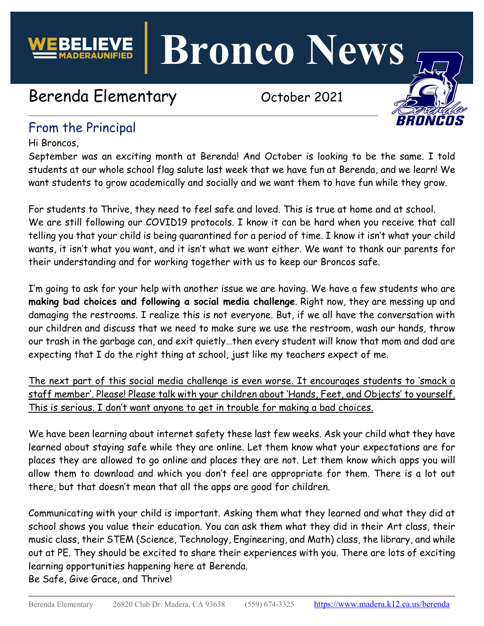

**Bronco News**

# Berenda Elementary Cotober 2021



# From the Principal

Hi Broncos,

September was an exciting month at Berenda! And October is looking to be the same. I told students at our whole school flag salute last week that we have fun at Berenda, and we learn! We want students to grow academically and socially and we want them to have fun while they grow.

For students to Thrive, they need to feel safe and loved. This is true at home and at school. We are still following our COVID19 protocols. I know it can be hard when you receive that call telling you that your child is being quarantined for a period of time. I know it isn't what your child wants, it isn't what you want, and it isn't what we want either. We want to thank our parents for their understanding and for working together with us to keep our Broncos safe.

I'm going to ask for your help with another issue we are having. We have a few students who are **making bad choices and following a social media challenge**. Right now, they are messing up and damaging the restrooms. I realize this is not everyone. But, if we all have the conversation with our children and discuss that we need to make sure we use the restroom, wash our hands, throw our trash in the garbage can, and exit quietly…then every student will know that mom and dad are expecting that I do the right thing at school, just like my teachers expect of me.

The next part of this social media challenge is even worse. It encourages students to 'smack a staff member'. Please! Please talk with your children about 'Hands, Feet, and Objects' to yourself. This is serious. I don't want anyone to get in trouble for making a bad choices.

We have been learning about internet safety these last few weeks. Ask your child what they have learned about staying safe while they are online. Let them know what your expectations are for places they are allowed to go online and places they are not. Let them know which apps you will allow them to download and which you don't feel are appropriate for them. There is a lot out there, but that doesn't mean that all the apps are good for children.

Communicating with your child is important. Asking them what they learned and what they did at school shows you value their education. You can ask them what they did in their Art class, their music class, their STEM (Science, Technology, Engineering, and Math) class, the library, and while out at PE. They should be excited to share their experiences with you. There are lots of exciting learning opportunities happening here at Berenda. Be Safe, Give Grace, and Thrive!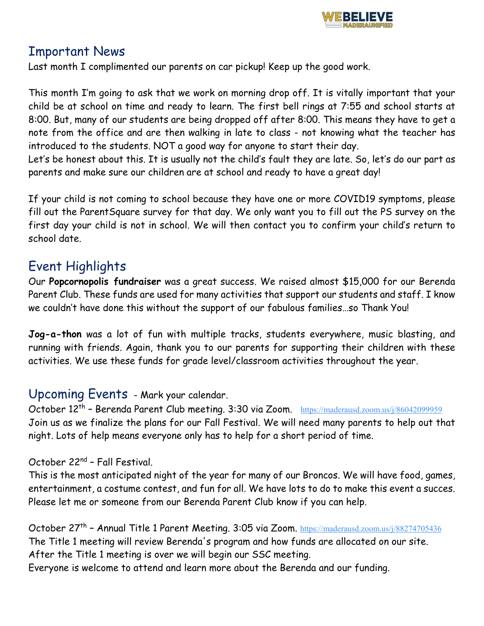

### Important News

Last month I complimented our parents on car pickup! Keep up the good work.

This month I'm going to ask that we work on morning drop off. It is vitally important that your child be at school on time and ready to learn. The first bell rings at 7:55 and school starts at 8:00. But, many of our students are being dropped off after 8:00. This means they have to get a note from the office and are then walking in late to class - not knowing what the teacher has introduced to the students. NOT a good way for anyone to start their day.

Let's be honest about this. It is usually not the child's fault they are late. So, let's do our part as parents and make sure our children are at school and ready to have a great day!

If your child is not coming to school because they have one or more COVID19 symptoms, please fill out the ParentSquare survey for that day. We only want you to fill out the PS survey on the first day your child is not in school. We will then contact you to confirm your child's return to school date.

## Event Highlights

Our **Popcornopolis fundraiser** was a great success. We raised almost \$15,000 for our Berenda Parent Club. These funds are used for many activities that support our students and staff. I know we couldn't have done this without the support of our fabulous families…so Thank You!

**Jog-a-thon** was a lot of fun with multiple tracks, students everywhere, music blasting, and running with friends. Again, thank you to our parents for supporting their children with these activities. We use these funds for grade level/classroom activities throughout the year.

### Upcoming Events - Mark your calendar.

October 12<sup>th</sup> - Berenda Parent Club meeting. 3:30 via Zoom. <https://maderausd.zoom.us/j/86042099959> Join us as we finalize the plans for our Fall Festival. We will need many parents to help out that night. Lots of help means everyone only has to help for a short period of time.

#### October 22nd – Fall Festival.

This is the most anticipated night of the year for many of our Broncos. We will have food, games, entertainment, a costume contest, and fun for all. We have lots to do to make this event a succes. Please let me or someone from our Berenda Parent Club know if you can help.

October 27<sup>th</sup> - Annual Title 1 Parent Meeting. 3:05 via Zoom. <https://maderausd.zoom.us/j/88274705436> The Title 1 meeting will review Berenda's program and how funds are allocated on our site. After the Title 1 meeting is over we will begin our SSC meeting. Everyone is welcome to attend and learn more about the Berenda and our funding.